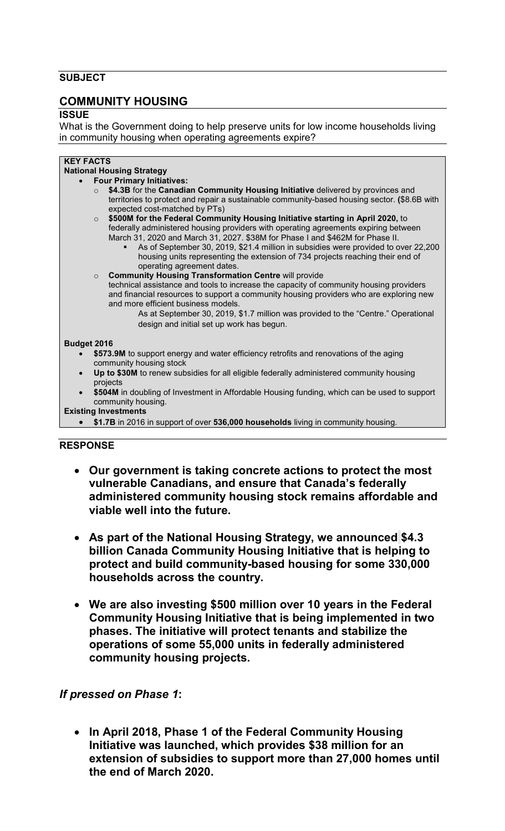# **SUBJECT**

# **COMMUNITY HOUSING**

#### **ISSUE**

What is the Government doing to help preserve units for low income households living in community housing when operating agreements expire?

## **KEY FACTS**

# **National Housing Strategy**

- **Four Primary Initiatives:**
	- o **\$4.3B** for the **Canadian Community Housing Initiative** delivered by provinces and territories to protect and repair a sustainable community-based housing sector. **(**\$8.6B with expected cost-matched by PTs)
	- o **\$500M for the Federal Community Housing Initiative starting in April 2020,** to federally administered housing providers with operating agreements expiring between March 31, 2020 and March 31, 2027. \$38M for Phase I and \$462M for Phase II.
		- As of September 30, 2019, \$21.4 million in subsidies were provided to over 22,200 housing units representing the extension of 734 projects reaching their end of operating agreement dates.
	- o **Community Housing Transformation Centre** will provide

technical assistance and tools to increase the capacity of community housing providers and financial resources to support a community housing providers who are exploring new and more efficient business models.

As at September 30, 2019, \$1.7 million was provided to the "Centre." Operational design and initial set up work has begun.

#### **Budget 2016**

- **\$573.9M** to support energy and water efficiency retrofits and renovations of the aging community housing stock
- Up to \$30M to renew subsidies for all eligible federally administered community housing projects
- **\$504M** in doubling of Investment in Affordable Housing funding, which can be used to support community housing.

### **Existing Investments**

• **\$1.7B** in 2016 in support of over **536,000 households** living in community housing.

#### **RESPONSE**

- **Our government is taking concrete actions to protect the most vulnerable Canadians, and ensure that Canada's federally administered community housing stock remains affordable and viable well into the future.**
- **As part of the National Housing Strategy, we announced \$4.3 billion Canada Community Housing Initiative that is helping to protect and build community-based housing for some 330,000 households across the country.**
- **We are also investing \$500 million over 10 years in the Federal Community Housing Initiative that is being implemented in two phases. The initiative will protect tenants and stabilize the operations of some 55,000 units in federally administered community housing projects.**

## *If pressed on Phase 1***:**

• **In April 2018, Phase 1 of the Federal Community Housing Initiative was launched, which provides \$38 million for an extension of subsidies to support more than 27,000 homes until the end of March 2020.**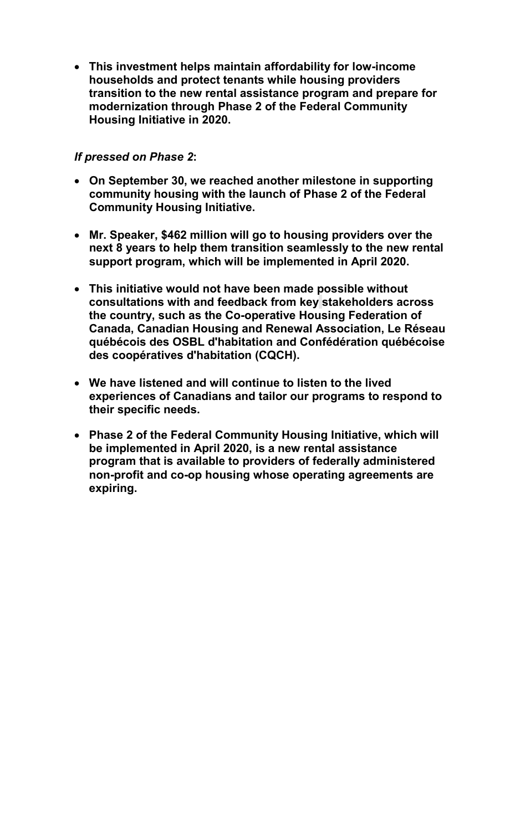• **This investment helps maintain affordability for low-income households and protect tenants while housing providers transition to the new rental assistance program and prepare for modernization through Phase 2 of the Federal Community Housing Initiative in 2020.**

# *If pressed on Phase 2***:**

- **On September 30, we reached another milestone in supporting community housing with the launch of Phase 2 of the Federal Community Housing Initiative.**
- **Mr. Speaker, \$462 million will go to housing providers over the next 8 years to help them transition seamlessly to the new rental support program, which will be implemented in April 2020.**
- **This initiative would not have been made possible without consultations with and feedback from key stakeholders across the country, such as the Co-operative Housing Federation of Canada, Canadian Housing and Renewal Association, Le Réseau québécois des OSBL d'habitation and Confédération québécoise des coopératives d'habitation (CQCH).**
- **We have listened and will continue to listen to the lived experiences of Canadians and tailor our programs to respond to their specific needs.**
- **Phase 2 of the Federal Community Housing Initiative, which will be implemented in April 2020, is a new rental assistance program that is available to providers of federally administered non-profit and co-op housing whose operating agreements are expiring.**